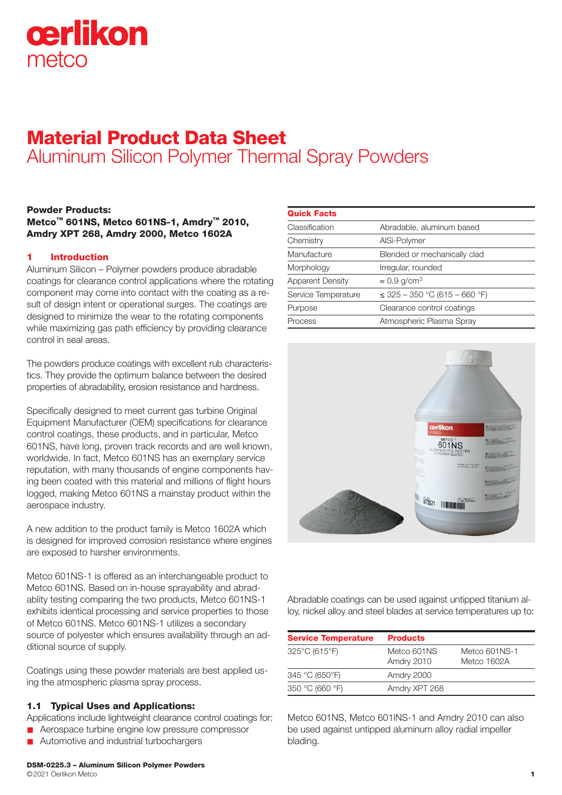# cerlikon metco

# Material Product Data Sheet Aluminum Silicon Polymer Thermal Spray Powders

#### Powder Products: Metco™ 601NS, Metco 601NS-1, Amdry™ 2010, Amdry XPT 268, Amdry 2000, Metco 1602A

# 1 Introduction

Aluminum Silicon – Polymer powders produce abradable coatings for clearance control applications where the rotating component may come into contact with the coating as a result of design intent or operational surges. The coatings are designed to minimize the wear to the rotating components while maximizing gas path efficiency by providing clearance control in seal areas.

The powders produce coatings with excellent rub characteristics. They provide the optimum balance between the desired properties of abradability, erosion resistance and hardness.

Specifically designed to meet current gas turbine Original Equipment Manufacturer (OEM) specifications for clearance control coatings, these products, and in particular, Metco 601NS, have long, proven track records and are well known, worldwide. In fact, Metco 601NS has an exemplary service reputation, with many thousands of engine components having been coated with this material and millions of flight hours logged, making Metco 601NS a mainstay product within the aerospace industry.

A new addition to the product family is Metco 1602A which is designed for improved corrosion resistance where engines are exposed to harsher environments.

Metco 601NS-1 is offered as an interchangeable product to Metco 601NS. Based on in-house sprayability and abradablity testing comparing the two products, Metco 601NS-1 exhibits identical processing and service properties to those of Metco 601NS. Metco 601NS-1 utilizes a secondary source of polyester which ensures availability through an additional source of supply.

Coatings using these powder materials are best applied using the atmospheric plasma spray process.

#### 1.1 Typical Uses and Applications:

Applications include lightweight clearance control coatings for:

- **n** Aerospace turbine engine low pressure compressor
- **n** Automotive and industrial turbochargers

| <b>Quick Facts</b>      |                                    |
|-------------------------|------------------------------------|
| Classification          | Abradable, aluminum based          |
| Chemistry               | AISi-Polymer                       |
| Manufacture             | Blended or mechanically clad       |
| Morphology              | Irregular, rounded                 |
| <b>Apparent Density</b> | $\approx 0.9$ g/cm <sup>3</sup>    |
| Service Temperature     | $\leq$ 325 – 350 °C (615 – 660 °F) |
| Purpose                 | Clearance control coatings         |
| Process                 | Atmospheric Plasma Spray           |
|                         |                                    |



Abradable coatings can be used against untipped titanium alloy, nickel alloy and steel blades at service temperatures up to:

| <b>Service Temperature</b> | <b>Products</b>           |                              |
|----------------------------|---------------------------|------------------------------|
| 325°C (615°F)              | Metco 601NS<br>Amdry 2010 | Metco 601NS-1<br>Metco 1602A |
| 345 °C (650°F)             | Amdry 2000                |                              |
| 350 °C (660 °F)            | Amdry XPT 268             |                              |

Metco 601NS, Metco 601lNS-1 and Amdry 2010 can also be used against untipped aluminum alloy radial impeller blading.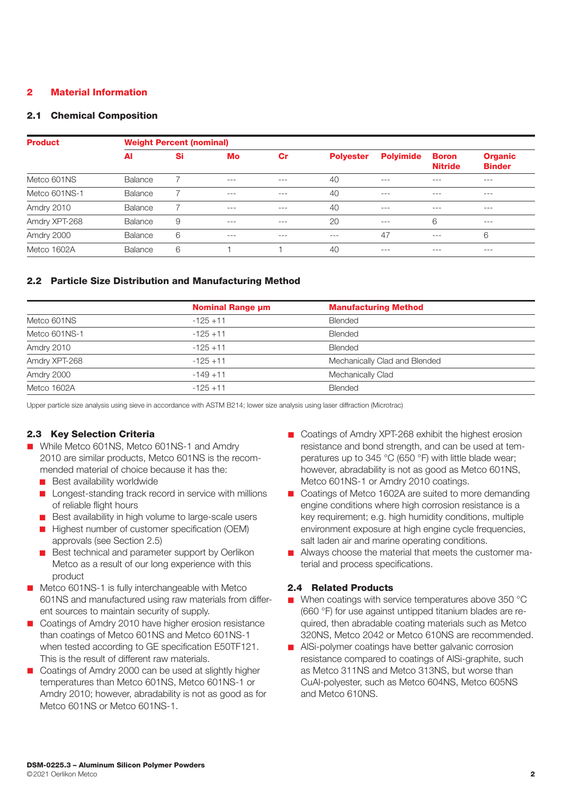# 2 Material Information

#### 2.1 Chemical Composition

| <b>Product</b> | <b>Weight Percent (nominal)</b> |    |       |       |                  |                  |                                |                                 |
|----------------|---------------------------------|----|-------|-------|------------------|------------------|--------------------------------|---------------------------------|
|                | AI                              | Si | Mo    | Cr    | <b>Polyester</b> | <b>Polyimide</b> | <b>Boron</b><br><b>Nitride</b> | <b>Organic</b><br><b>Binder</b> |
| Metco 601NS    | Balance                         |    | $---$ | $---$ | 40               | $---$            | $---$                          | $---$                           |
| Metco 601NS-1  | Balance                         |    | $---$ | $---$ | 40               | $--$             | $---$                          | $---$                           |
| Amdry 2010     | Balance                         |    | $---$ | $---$ | 40               | $---$            | $---$                          | $---$                           |
| Amdry XPT-268  | Balance                         | 9  | $---$ | $---$ | 20               | $---$            | 6                              | $--$                            |
| Amdry 2000     | Balance                         | 6  | $---$ | $---$ | $---$            | 47               | $---$                          | 6                               |
| Metco 1602A    | Balance                         | 6  |       |       | 40               | $-- -$           | $---$                          | $---$                           |

# 2.2 Particle Size Distribution and Manufacturing Method

|               | <b>Nominal Range µm</b> | <b>Manufacturing Method</b>   |
|---------------|-------------------------|-------------------------------|
| Metco 601NS   | $-125+11$               | <b>Blended</b>                |
| Metco 601NS-1 | $-125 + 11$             | <b>Blended</b>                |
| Amdry 2010    | $-125+11$               | <b>Blended</b>                |
| Amdry XPT-268 | $-125+11$               | Mechanically Clad and Blended |
| Amdry 2000    | $-149+11$               | Mechanically Clad             |
| Metco 1602A   | $-125 + 11$             | <b>Blended</b>                |

Upper particle size analysis using sieve in accordance with ASTM B214; lower size analysis using laser diffraction (Microtrac)

## 2.3 Key Selection Criteria

- While Metco 601NS, Metco 601NS-1 and Amdry 2010 are similar products, Metco 601NS is the recommended material of choice because it has the:
	- **n** Best availability worldwide
	- Longest-standing track record in service with millions of reliable flight hours
	- Best availability in high volume to large-scale users
	- Highest number of customer specification (OEM) approvals (see Section 2.5)
	- **n** Best technical and parameter support by Oerlikon Metco as a result of our long experience with this product
- Metco 601NS-1 is fully interchangeable with Metco 601NS and manufactured using raw materials from different sources to maintain security of supply.
- Coatings of Amdry 2010 have higher erosion resistance than coatings of Metco 601NS and Metco 601NS-1 when tested according to GE specification E50TE121. This is the result of different raw materials.
- Coatings of Amdry 2000 can be used at slightly higher temperatures than Metco 601NS, Metco 601NS-1 or Amdry 2010; however, abradability is not as good as for Metco 601NS or Metco 601NS-1.
- Coatings of Amdry XPT-268 exhibit the highest erosion resistance and bond strength, and can be used at temperatures up to 345 °C (650 °F) with little blade wear; however, abradability is not as good as Metco 601NS, Metco 601NS-1 or Amdry 2010 coatings.
- Coatings of Metco 1602A are suited to more demanding engine conditions where high corrosion resistance is a key requirement; e.g. high humidity conditions, multiple environment exposure at high engine cycle frequencies, salt laden air and marine operating conditions.
- **n** Always choose the material that meets the customer material and process specifications.

## 2.4 Related Products

- $\blacksquare$  When coatings with service temperatures above 350 °C (660 °F) for use against untipped titanium blades are required, then abradable coating materials such as Metco 320NS, Metco 2042 or Metco 610NS are recommended.
- **n** AlSi-polymer coatings have better galvanic corrosion resistance compared to coatings of AlSi-graphite, such as Metco 311NS and Metco 313NS, but worse than CuAl-polyester, such as Metco 604NS, Metco 605NS and Metco 610NS.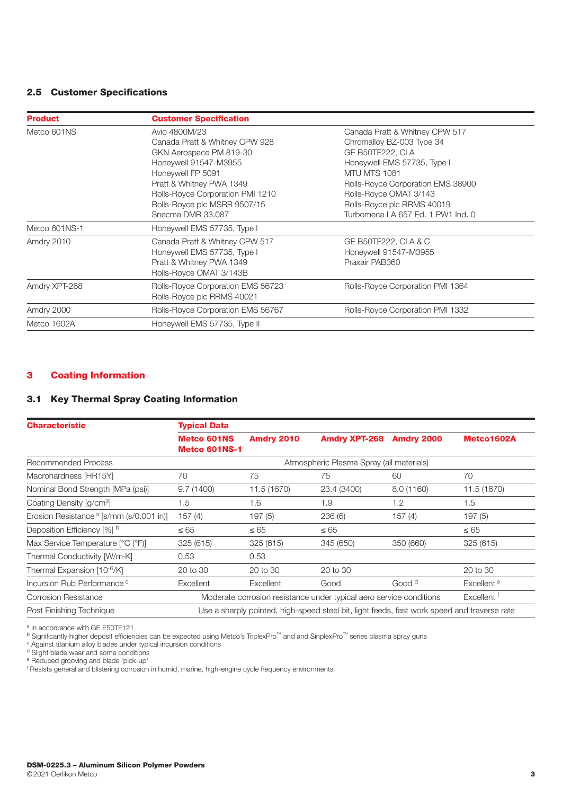# 2.5 Customer Specifications

| <b>Product</b> | <b>Customer Specification</b>                                                                                                                                                                                                                 |                                                                                                                                                                                                                                                                   |
|----------------|-----------------------------------------------------------------------------------------------------------------------------------------------------------------------------------------------------------------------------------------------|-------------------------------------------------------------------------------------------------------------------------------------------------------------------------------------------------------------------------------------------------------------------|
| Metco 601NS    | Avio 4800M/23<br>Canada Pratt & Whitney CPW 928<br>GKN Aerospace PM 819-30<br>Honeywell 91547-M3955<br>Honeywell FP 5091<br>Pratt & Whitney PWA 1349<br>Rolls-Royce Corporation PMI 1210<br>Rolls-Royce plc MSRR 9507/15<br>Snecma DMR 33.087 | Canada Pratt & Whitney CPW 517<br>Chromalloy BZ-003 Type 34<br>GE B50TF222, CI A<br>Honeywell EMS 57735, Type I<br>MTU MTS 1081<br>Rolls-Royce Corporation EMS 38900<br>Rolls-Royce OMAT 3/143<br>Rolls-Royce plc RRMS 40019<br>Turbomeca LA 657 Ed. 1 PW1 Ind. 0 |
| Metco 601NS-1  | Honeywell EMS 57735, Type I                                                                                                                                                                                                                   |                                                                                                                                                                                                                                                                   |
| Amdry 2010     | Canada Pratt & Whitney CPW 517<br>Honeywell EMS 57735, Type I<br>Pratt & Whitney PWA 1349<br>Rolls-Royce OMAT 3/143B                                                                                                                          | GE B50TF222, CI A & C<br>Honeywell 91547-M3955<br>Praxair PAB360                                                                                                                                                                                                  |
| Amdry XPT-268  | Rolls-Royce Corporation EMS 56723<br>Rolls-Royce plc RRMS 40021                                                                                                                                                                               | Rolls-Royce Corporation PMI 1364                                                                                                                                                                                                                                  |
| Amdry 2000     | Rolls-Royce Corporation EMS 56767                                                                                                                                                                                                             | Rolls-Royce Corporation PMI 1332                                                                                                                                                                                                                                  |
| Metco 1602A    | Honeywell EMS 57735, Type II                                                                                                                                                                                                                  |                                                                                                                                                                                                                                                                   |

#### 3 Coating Information

# 3.1 Key Thermal Spray Coating Information

| <b>Characteristic</b>                               | <b>Typical Data</b>                 |                  |                                                                                             |                   |                        |
|-----------------------------------------------------|-------------------------------------|------------------|---------------------------------------------------------------------------------------------|-------------------|------------------------|
|                                                     | <b>Metco 601NS</b><br>Metco 601NS-1 | Amdry 2010       | <b>Amdry XPT-268</b>                                                                        | Amdry 2000        | Metco1602A             |
| <b>Recommended Process</b>                          |                                     |                  | Atmospheric Plasma Spray (all materials)                                                    |                   |                        |
| Macrohardness [HR15Y]                               | 70                                  | 75               | 75                                                                                          | 60                | 70                     |
| Nominal Bond Strength [MPa (psi)]                   | 9.7(1400)                           | 11.5 (1670)      | 23.4 (3400)                                                                                 | 8.0 (1160)        | 11.5 (1670)            |
| Coating Density [g/cm <sup>3</sup> ]                | 1.5                                 | 1.6              | 1.9                                                                                         | 1.2               | 1.5                    |
| Erosion Resistance <sup>a</sup> [s/mm (s/0.001 in)] | 157(4)                              | 197(5)           | 236(6)                                                                                      | 157(4)            | 197(5)                 |
| Deposition Efficiency [%] b                         | $\leq 65$                           | $\leq 65$        | $\leq 65$                                                                                   |                   | $\leq 65$              |
| Max Service Temperature [°C (°F)]                   | 325 (615)                           | 325 (615)        | 345 (650)                                                                                   | 350 (660)         | 325 (615)              |
| Thermal Conductivity [W/m·K]                        | 0.53                                | 0.53             |                                                                                             |                   |                        |
| Thermal Expansion [10-6/K]                          | 20 to 30                            | 20 to 30         | 20 to 30                                                                                    |                   | 20 to 30               |
| Incursion Rub Performance <sup>c</sup>              | Excellent                           | <b>Excellent</b> | Good                                                                                        | Good <sup>d</sup> | Excellent <sup>e</sup> |
| <b>Corrosion Resistance</b>                         |                                     |                  | Moderate corrosion resistance under typical aero service conditions                         |                   | Excellent <sup>†</sup> |
| Post Finishing Technique                            |                                     |                  | Use a sharply pointed, high-speed steel bit, light feeds, fast work speed and traverse rate |                   |                        |

a In accordance with GE E50TF121

b Significantly higher deposit efficiencies can be expected using Metco's TriplexPro™ and and SinplexPro™ series plasma spray guns

c Against titanium alloy blades under typical incursion conditions

<sup>d</sup> Slight blade wear and some conditions

<sup>e</sup> Reduced grooving and blade 'pick-up'<br><sup>f</sup> Resists general and blistering corrosion in humid, marine, high-engine cycle frequency environments